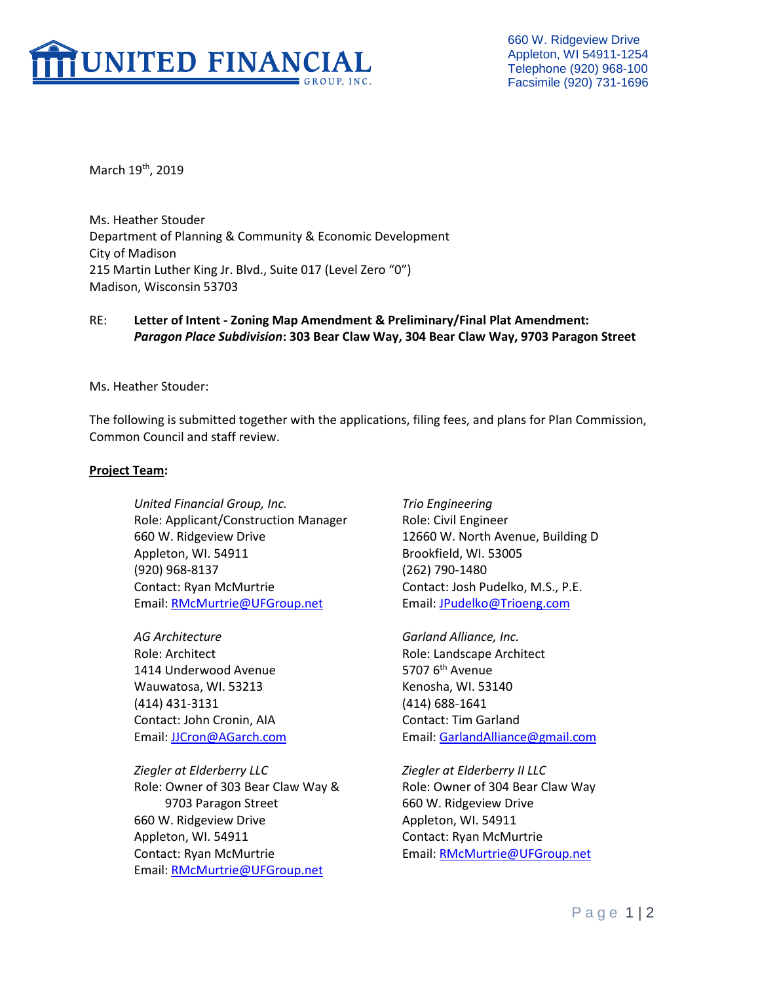

660 W. Ridgeview Drive Appleton, WI 54911-1254 Telephone (920) 968-100 Facsimile (920) 731-1696

March 19<sup>th</sup>, 2019

Ms. Heather Stouder Department of Planning & Community & Economic Development City of Madison 215 Martin Luther King Jr. Blvd., Suite 017 (Level Zero "0") Madison, Wisconsin 53703

# RE: **Letter of Intent - Zoning Map Amendment & Preliminary/Final Plat Amendment:**  *Paragon Place Subdivision***: 303 Bear Claw Way, 304 Bear Claw Way, 9703 Paragon Street**

Ms. Heather Stouder:

The following is submitted together with the applications, filing fees, and plans for Plan Commission, Common Council and staff review.

#### **Project Team:**

*United Financial Group, Inc. Trio Engineering* Role: Applicant/Construction Manager Role: Civil Engineer 660 W. Ridgeview Drive 12660 W. North Avenue, Building D Appleton, WI. 54911 Brookfield, WI. 53005 (920) 968-8137 (262) 790-1480 Contact: Ryan McMurtrie Contact: Josh Pudelko, M.S., P.E. Email: [RMcMurtrie@UFGroup.net](mailto:RMcMurtrie@UFGroup.net) Email: [JPudelko@Trioeng.com](mailto:JPudelko@Trioeng.com)

*AG Architecture Garland Alliance, Inc.* Role: Architect Role: Landscape Architect 1414 Underwood Avenue 5707 6<sup>th</sup> Avenue Wauwatosa, WI. 53213 Kenosha, WI. 53140 (414) 431-3131 (414) 688-1641 Contact: John Cronin, AIA Contact: Tim Garland

*Ziegler at Elderberry LLC Ziegler at Elderberry II LLC* Role: Owner of 303 Bear Claw Way & Role: Owner of 304 Bear Claw Way 9703 Paragon Street 660 W. Ridgeview Drive 660 W. Ridgeview Drive **Appleton**, WI. 54911 Appleton, WI. 54911 Contact: Ryan McMurtrie Contact: Ryan McMurtrie **Email:** [RMcMurtrie@UFGroup.net](mailto:RMcMurtrie@UFGroup.net) Email: [RMcMurtrie@UFGroup.net](mailto:RMcMurtrie@UFGroup.net)

Email: [JJCron@AGarch.com](mailto:JJCron@AGarch.com) Email: [GarlandAlliance@gmail.com](mailto:GarlandAlliance@gmail.com)